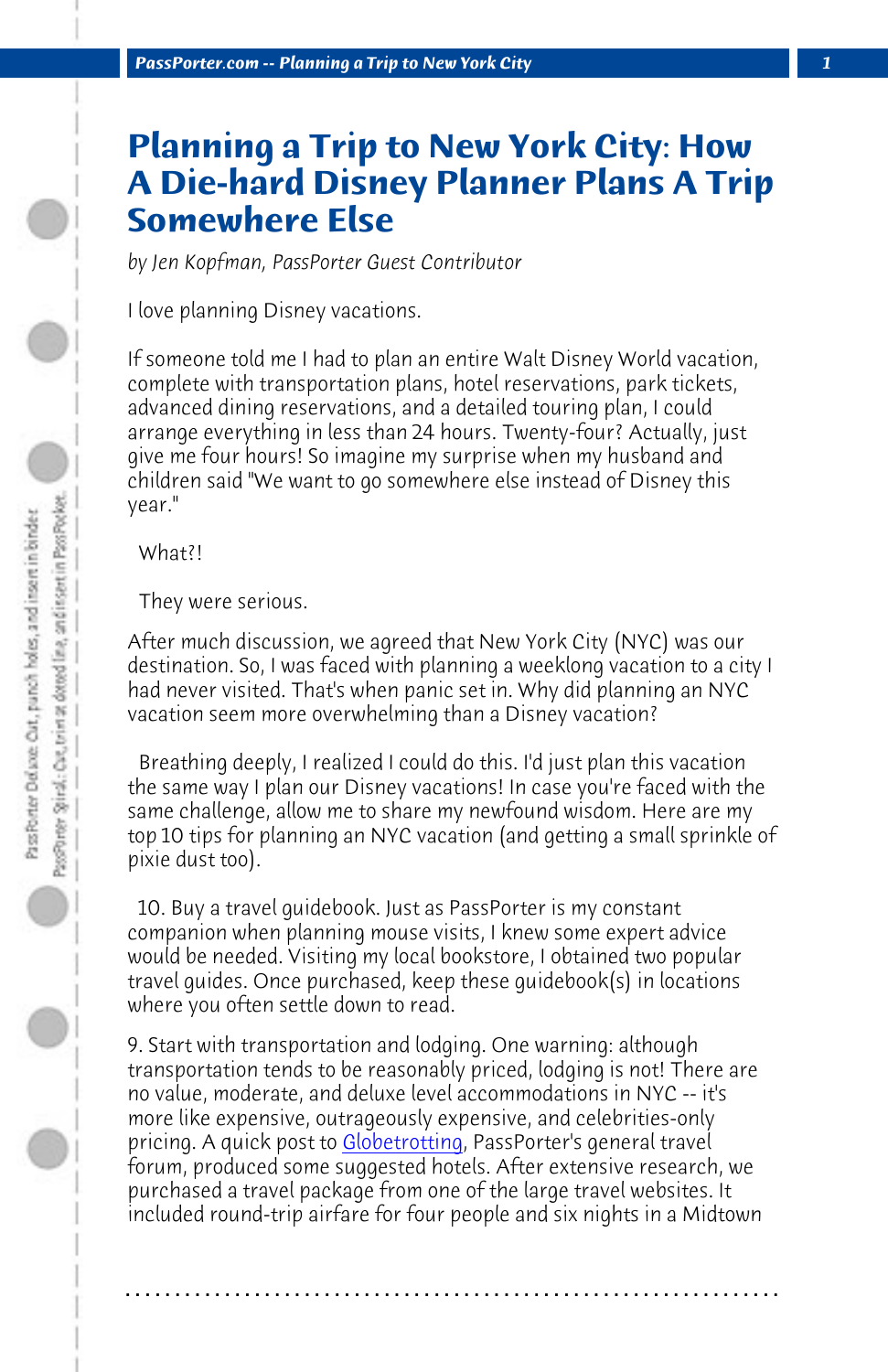*PassPorter.com -- Planning a Trip to New York City 1*

## **Planning a Trip to New York City: How A Die-hard Disney Planner Plans A Trip Somewhere Else**

*by Jen Kopfman, PassPorter Guest Contributor*

I love planning Disney vacations.

If someone told me I had to plan an entire Walt Disney World vacation, complete with transportation plans, hotel reservations, park tickets, advanced dining reservations, and a detailed touring plan, I could arrange everything in less than 24 hours. Twenty-four? Actually, just give me four hours! So imagine my surprise when my husband and children said "We want to go somewhere else instead of Disney this year."

 What?!

 They were serious.

After much discussion, we agreed that New York City (NYC) was our destination. So, I was faced with planning a weeklong vacation to a city I had never visited. That's when panic set in. Why did planning an NYC vacation seem more overwhelming than a Disney vacation?

 Breathing deeply, I realized I could do this. I'd just plan this vacation the same way I plan our Disney vacations! In case you're faced with the same challenge, allow me to share my newfound wisdom. Here are my top 10 tips for planning an NYC vacation (and getting a small sprinkle of pixie dust too).

 10. Buy a travel guidebook. Just as PassPorter is my constant companion when planning mouse visits, I knew some expert advice would be needed. Visiting my local bookstore, I obtained two popular travel guides. Once purchased, keep these guidebook(s) in locations where you often settle down to read.

9. Start with transportation and lodging. One warning: although transportation tends to be reasonably priced, lodging is not! There are no value, moderate, and deluxe level accommodations in NYC -- it's more like expensive, outrageously expensive, and celebrities-only pricing. A quick post to Globetrotting, PassPorter's general travel forum, produced some suggested hotels. After extensive research, we purchased a travel package from one of the large travel websites. It included round-trip airfare for four people and six nights in a Midtown

**. . . . . . . . . . . . . . . . . . . . . . . . . . . . . . . . . . . . . . . . . . . . . . . . . . . . . . . . . . . . . . . . . .**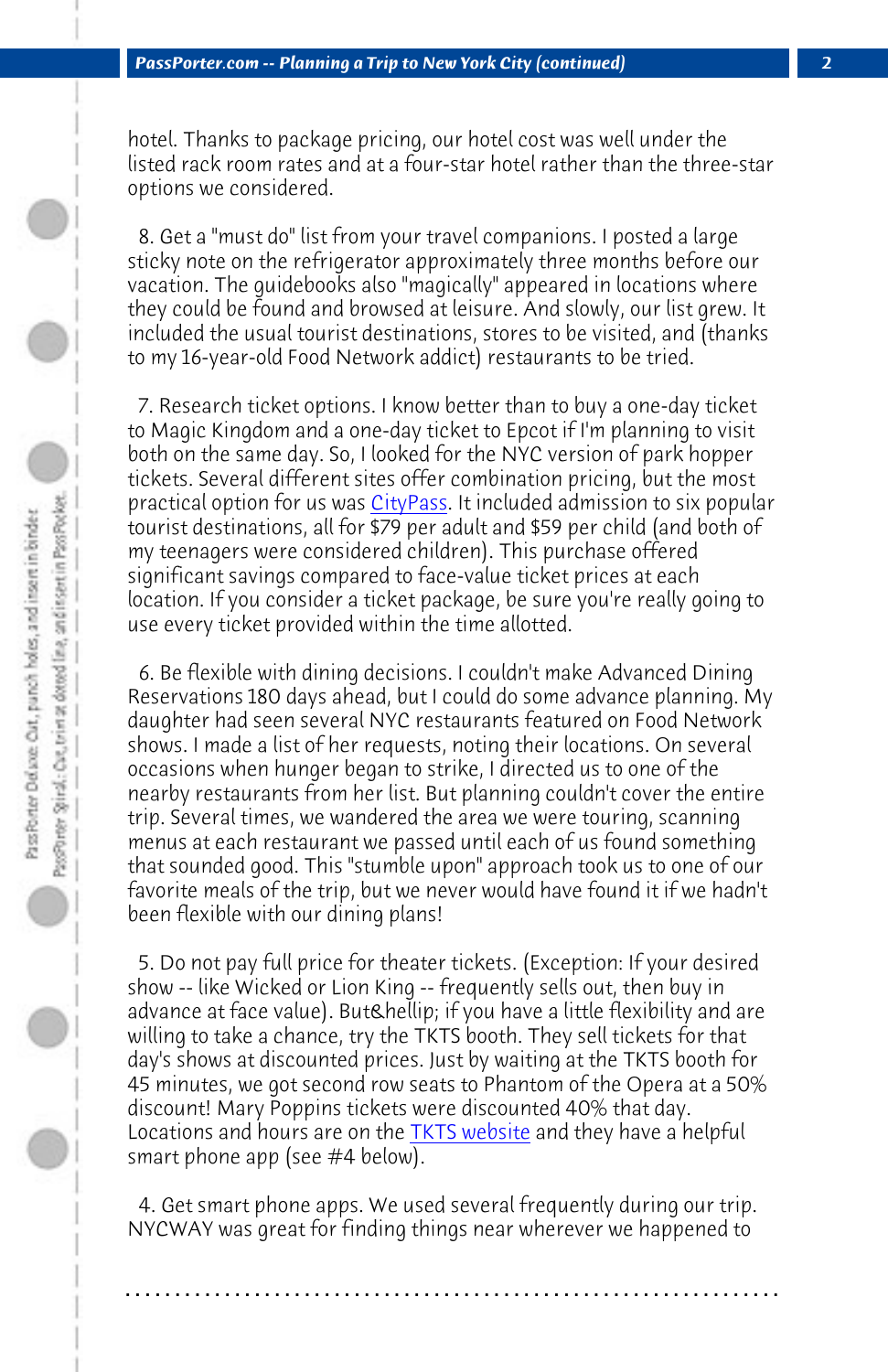*PassPorter.com -- Planning a Trip to New York City (continued) 2*

hotel. Thanks to package pricing, our hotel cost was well under the listed rack room rates and at a four-star hotel rather than the three-star options we considered.

 8. Get a "must do" list from your travel companions. I posted a large sticky note on the refrigerator approximately three months before our vacation. The guidebooks also "magically" appeared in locations where they could be found and browsed at leisure. And slowly, our list grew. It included the usual tourist destinations, stores to be visited, and (thanks to my 16-year-old Food Network addict) restaurants to be tried.

 7. Research ticket options. I know better than to buy a one-day ticket to Magic Kingdom and a one-day ticket to Epcot if I'm planning to visit both on the same day. So, I looked for the NYC version of park hopper tickets. Several different sites offer combination pricing, but the most practical option for us was CityPass. It included admission to six popular tourist destinations, all for \$79 per adult and \$59 per child (and both of my teenagers were considered children). This purchase offered significant savings compared to face-value ticket prices at each location. If you consider a ticket package, be sure you're really going to use every ticket provided within the time allotted.

 6. Be flexible with dining decisions. I couldn't make Advanced Dining Reservations 180 days ahead, but I could do some advance planning. My daughter had seen several NY[C restaurants f](http://www.tdf.org/tkt)eatured on Food Network shows. I made a list of her requests, noting their locations. On several occasions when hunger began to strike, I directed us to one of the nearby restaurants from her list. But planning couldn't cover the entire trip. Several times, we wandered the area we were touring, scanning menus at each restaurant we passed until each of us found something that sounded good. This "stumble upon" approach took us to one of our favorite meals of the trip, but we never would have found it if we hadn't been flexible with our dining plans!

 5. Do not pay full price for theater tickets. (Exception: If your desired show -- like Wicked or Lion King -- frequently sells out, then buy in advance at face value). But… if you have a little flexibility and are willing to take a chance, try the TKTS booth. They sell tickets for that day's shows at discounted prices. Just by waiting at the TKTS booth for 45 minutes, we got second row seats to Phantom of the Opera at a 50% discount! Mary Poppins tickets were discounted 40% that day. Locations and hours are on the TKTS website and they have a helpful smart phone app (see #4 below).

 4. Get smart phone apps. We used several frequently during our trip. NYCWAY was great for finding things near wherever we happened to

**. . . . . . . . . . . . . . . . . . . . . . . . . . . . . . . . . . . . . . . . . . . . . . . . . . . . . . . . . . . . . . . . . .**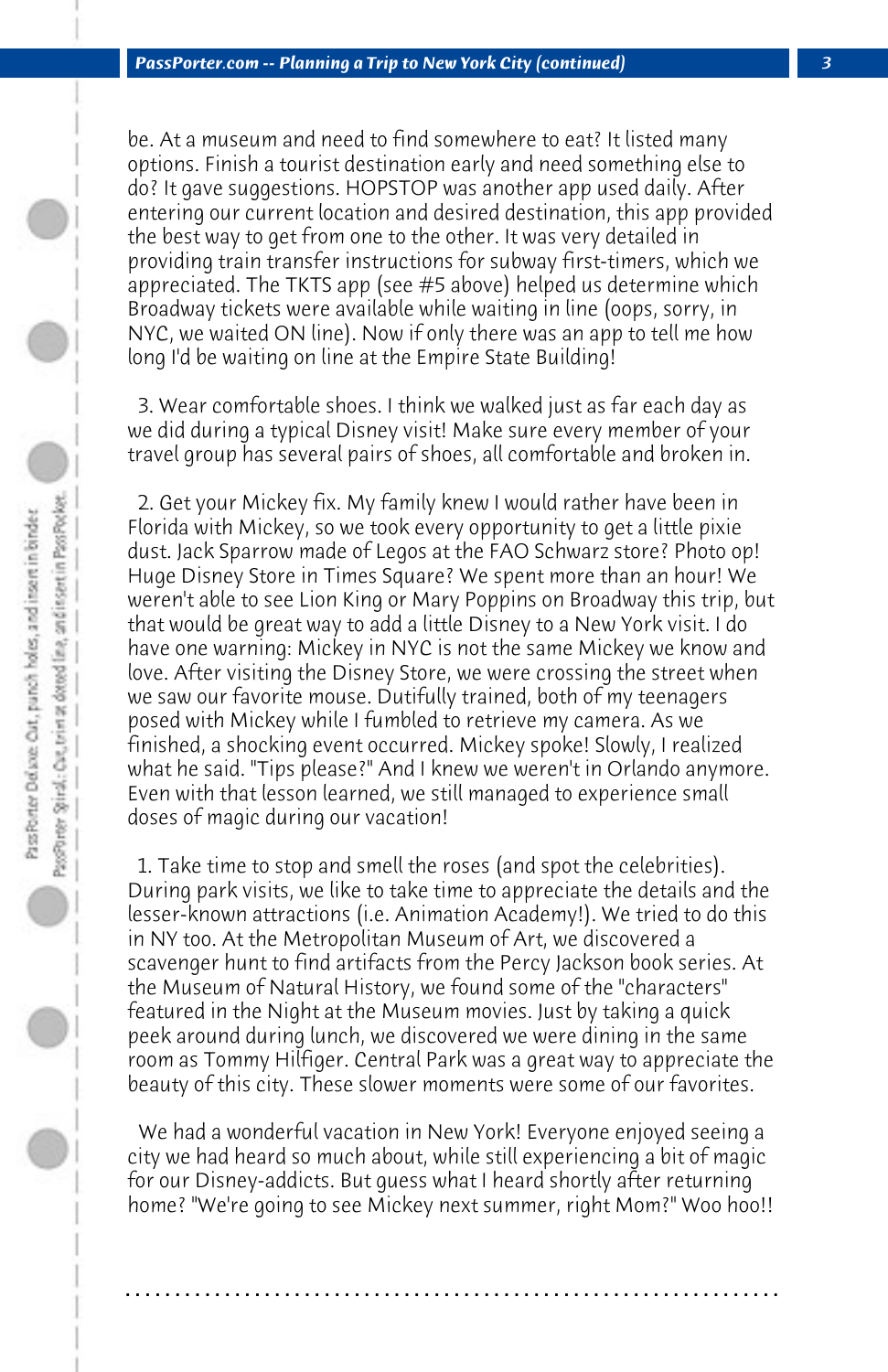be. At a museum and need to find somewhere to eat? It listed many options. Finish a tourist destination early and need something else to do? It gave suggestions. HOPSTOP was another app used daily. After entering our current location and desired destination, this app provided the best way to get from one to the other. It was very detailed in providing train transfer instructions for subway first-timers, which we appreciated. The TKTS app (see #5 above) helped us determine which Broadway tickets were available while waiting in line (oops, sorry, in NYC, we waited ON line). Now if only there was an app to tell me how long I'd be waiting on line at the Empire State Building!

 3. Wear comfortable shoes. I think we walked just as far each day as we did during a typical Disney visit! Make sure every member of your travel group has several pairs of shoes, all comfortable and broken in.

 2. Get your Mickey fix. My family knew I would rather have been in Florida with Mickey, so we took every opportunity to get a little pixie dust. Jack Sparrow made of Legos at the FAO Schwarz store? Photo op! Huge Disney Store in Times Square? We spent more than an hour! We weren't able to see Lion King or Mary Poppins on Broadway this trip, but that would be great way to add a little Disney to a New York visit. I do have one warning: Mickey in NYC is not the same Mickey we know and love. After visiting the Disney Store, we were crossing the street when we saw our favorite mouse. Dutifully trained, both of my teenagers posed with Mickey while I fumbled to retrieve my camera. As we finished, a shocking event occurred. Mickey spoke! Slowly, I realized what he said. "Tips please?" And I knew we weren't in Orlando anymore. Even with that lesson learned, we still managed to experience small doses of magic during our vacation!

 1. Take time to stop and smell the roses (and spot the celebrities). During park visits, we like to take time to appreciate the details and the lesser-known attractions (i.e. Animation Academy!). We tried to do this in NY too. At the Metropolitan Museum of Art, we discovered a scavenger hunt to find artifacts from the Percy Jackson book series. At the Museum of Natural History, we found some of the "characters" featured in the Night at the Museum movies. Just by taking a quick peek around during lunch, we discovered we were dining in the same room as Tommy Hilfiger. Central Park was a great way to appreciate the beauty of this city. These slower moments were some of our favorites.

 We had a wonderful vacation in New York! Everyone enjoyed seeing a city we had heard so much about, while still experiencing a bit of magic for our Disney-addicts. But guess what I heard shortly after returning home? "We're going to see Mickey next summer, right Mom?" Woo hoo!!

**. . . . . . . . . . . . . . . . . . . . . . . . . . . . . . . . . . . . . . . . . . . . . . . . . . . . . . . . . . . . . . . . . .**